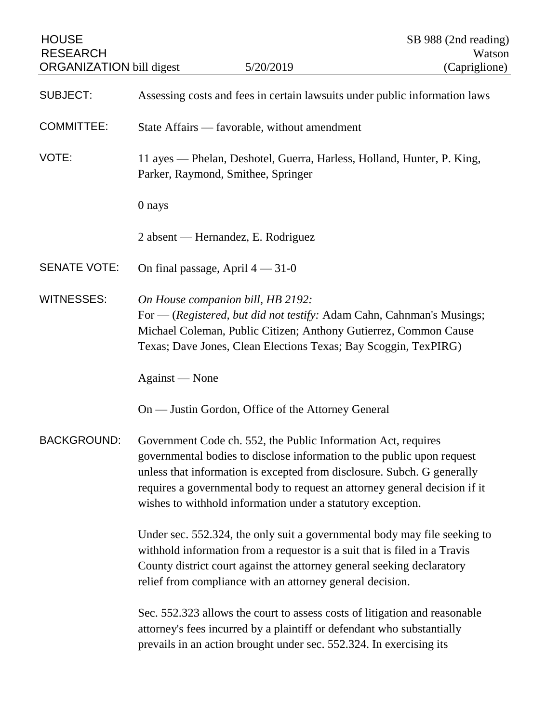| <b>HOUSE</b><br><b>RESEARCH</b><br><b>ORGANIZATION</b> bill digest |                                                                                                                                                                                                                                                                                               | 5/20/2019                                                                                                                                                                                                                                                                                                                                                       |  | SB 988 (2nd reading)<br>Watson<br>(Capriglione) |  |
|--------------------------------------------------------------------|-----------------------------------------------------------------------------------------------------------------------------------------------------------------------------------------------------------------------------------------------------------------------------------------------|-----------------------------------------------------------------------------------------------------------------------------------------------------------------------------------------------------------------------------------------------------------------------------------------------------------------------------------------------------------------|--|-------------------------------------------------|--|
| <b>SUBJECT:</b>                                                    | Assessing costs and fees in certain lawsuits under public information laws                                                                                                                                                                                                                    |                                                                                                                                                                                                                                                                                                                                                                 |  |                                                 |  |
| <b>COMMITTEE:</b>                                                  | State Affairs — favorable, without amendment                                                                                                                                                                                                                                                  |                                                                                                                                                                                                                                                                                                                                                                 |  |                                                 |  |
| VOTE:                                                              | 11 ayes — Phelan, Deshotel, Guerra, Harless, Holland, Hunter, P. King,<br>Parker, Raymond, Smithee, Springer                                                                                                                                                                                  |                                                                                                                                                                                                                                                                                                                                                                 |  |                                                 |  |
|                                                                    | 0 nays                                                                                                                                                                                                                                                                                        |                                                                                                                                                                                                                                                                                                                                                                 |  |                                                 |  |
|                                                                    | 2 absent — Hernandez, E. Rodriguez                                                                                                                                                                                                                                                            |                                                                                                                                                                                                                                                                                                                                                                 |  |                                                 |  |
| <b>SENATE VOTE:</b>                                                | On final passage, April $4 - 31 - 0$                                                                                                                                                                                                                                                          |                                                                                                                                                                                                                                                                                                                                                                 |  |                                                 |  |
| <b>WITNESSES:</b>                                                  | On House companion bill, HB 2192:                                                                                                                                                                                                                                                             | For — (Registered, but did not testify: Adam Cahn, Cahnman's Musings;<br>Michael Coleman, Public Citizen; Anthony Gutierrez, Common Cause<br>Texas; Dave Jones, Clean Elections Texas; Bay Scoggin, TexPIRG)                                                                                                                                                    |  |                                                 |  |
|                                                                    | Against — None                                                                                                                                                                                                                                                                                |                                                                                                                                                                                                                                                                                                                                                                 |  |                                                 |  |
|                                                                    |                                                                                                                                                                                                                                                                                               | On — Justin Gordon, Office of the Attorney General                                                                                                                                                                                                                                                                                                              |  |                                                 |  |
| BACKGROUND:                                                        |                                                                                                                                                                                                                                                                                               | Government Code ch. 552, the Public Information Act, requires<br>governmental bodies to disclose information to the public upon request<br>unless that information is excepted from disclosure. Subch. G generally<br>requires a governmental body to request an attorney general decision if it<br>wishes to withhold information under a statutory exception. |  |                                                 |  |
|                                                                    | Under sec. 552.324, the only suit a governmental body may file seeking to<br>withhold information from a requestor is a suit that is filed in a Travis<br>County district court against the attorney general seeking declaratory<br>relief from compliance with an attorney general decision. |                                                                                                                                                                                                                                                                                                                                                                 |  |                                                 |  |
|                                                                    |                                                                                                                                                                                                                                                                                               | Sec. 552.323 allows the court to assess costs of litigation and reasonable<br>attorney's fees incurred by a plaintiff or defendant who substantially<br>prevails in an action brought under sec. 552.324. In exercising its                                                                                                                                     |  |                                                 |  |